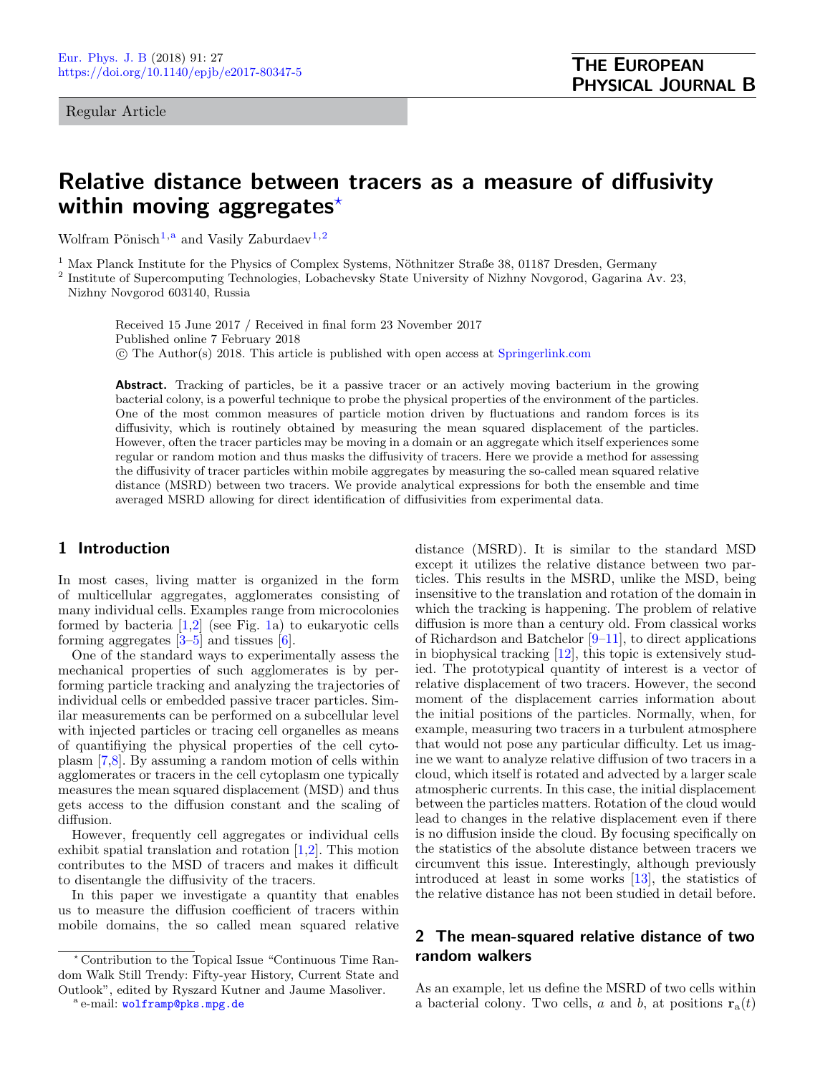Regular Article

# Relative distance between tracers as a measure of diffusivity within moving aggregates $*$

Wolfram Pönisch<sup>[1,](#page-0-0)a</sup> and Vasily Zaburdaev<sup>[1](#page-0-0)[,2](#page-0-1)</sup>

<span id="page-0-0"></span> $1$  Max Planck Institute for the Physics of Complex Systems, Nöthnitzer Straße 38, 01187 Dresden, Germany

<span id="page-0-1"></span><sup>2</sup> Institute of Supercomputing Technologies, Lobachevsky State University of Nizhny Novgorod, Gagarina Av. 23, Nizhny Novgorod 603140, Russia

Received 15 June 2017 / Received in final form 23 November 2017 Published online 7 February 2018  $\overline{c}$  The Author(s) 2018. This article is published with open access at [Springerlink.com](http://www.springerlink.com)

Abstract. Tracking of particles, be it a passive tracer or an actively moving bacterium in the growing bacterial colony, is a powerful technique to probe the physical properties of the environment of the particles. One of the most common measures of particle motion driven by fluctuations and random forces is its diffusivity, which is routinely obtained by measuring the mean squared displacement of the particles. However, often the tracer particles may be moving in a domain or an aggregate which itself experiences some regular or random motion and thus masks the diffusivity of tracers. Here we provide a method for assessing the diffusivity of tracer particles within mobile aggregates by measuring the so-called mean squared relative distance (MSRD) between two tracers. We provide analytical expressions for both the ensemble and time averaged MSRD allowing for direct identification of diffusivities from experimental data.

## 1 Introduction

In most cases, living matter is organized in the form of multicellular aggregates, agglomerates consisting of many individual cells. Examples range from microcolonies formed by bacteria [\[1,](#page-5-0)[2\]](#page-5-1) (see Fig. [1a](#page-1-0)) to eukaryotic cells forming aggregates  $[3-5]$  $[3-5]$  and tissues  $[6]$ .

One of the standard ways to experimentally assess the mechanical properties of such agglomerates is by performing particle tracking and analyzing the trajectories of individual cells or embedded passive tracer particles. Similar measurements can be performed on a subcellular level with injected particles or tracing cell organelles as means of quantifiying the physical properties of the cell cytoplasm [\[7,](#page-5-5)[8\]](#page-5-6). By assuming a random motion of cells within agglomerates or tracers in the cell cytoplasm one typically measures the mean squared displacement (MSD) and thus gets access to the diffusion constant and the scaling of diffusion.

However, frequently cell aggregates or individual cells exhibit spatial translation and rotation [\[1](#page-5-0)[,2\]](#page-5-1). This motion contributes to the MSD of tracers and makes it difficult to disentangle the diffusivity of the tracers.

In this paper we investigate a quantity that enables us to measure the diffusion coefficient of tracers within mobile domains, the so called mean squared relative

distance (MSRD). It is similar to the standard MSD except it utilizes the relative distance between two particles. This results in the MSRD, unlike the MSD, being insensitive to the translation and rotation of the domain in which the tracking is happening. The problem of relative diffusion is more than a century old. From classical works of Richardson and Batchelor [\[9–](#page-5-7)[11\]](#page-5-8), to direct applications in biophysical tracking [\[12\]](#page-5-9), this topic is extensively studied. The prototypical quantity of interest is a vector of relative displacement of two tracers. However, the second moment of the displacement carries information about the initial positions of the particles. Normally, when, for example, measuring two tracers in a turbulent atmosphere that would not pose any particular difficulty. Let us imagine we want to analyze relative diffusion of two tracers in a cloud, which itself is rotated and advected by a larger scale atmospheric currents. In this case, the initial displacement between the particles matters. Rotation of the cloud would lead to changes in the relative displacement even if there is no diffusion inside the cloud. By focusing specifically on the statistics of the absolute distance between tracers we circumvent this issue. Interestingly, although previously introduced at least in some works [\[13\]](#page-5-10), the statistics of the relative distance has not been studied in detail before.

## 2 The mean-squared relative distance of two random walkers

As an example, let us define the MSRD of two cells within a bacterial colony. Two cells, a and b, at positions  $\mathbf{r}_a(t)$ 

<sup>?</sup> Contribution to the Topical Issue "Continuous Time Random Walk Still Trendy: Fifty-year History, Current State and Outlook", edited by Ryszard Kutner and Jaume Masoliver.

a e-mail: [wolframp@pks.mpg.de](mailto:wolframp@pks.mpg.de)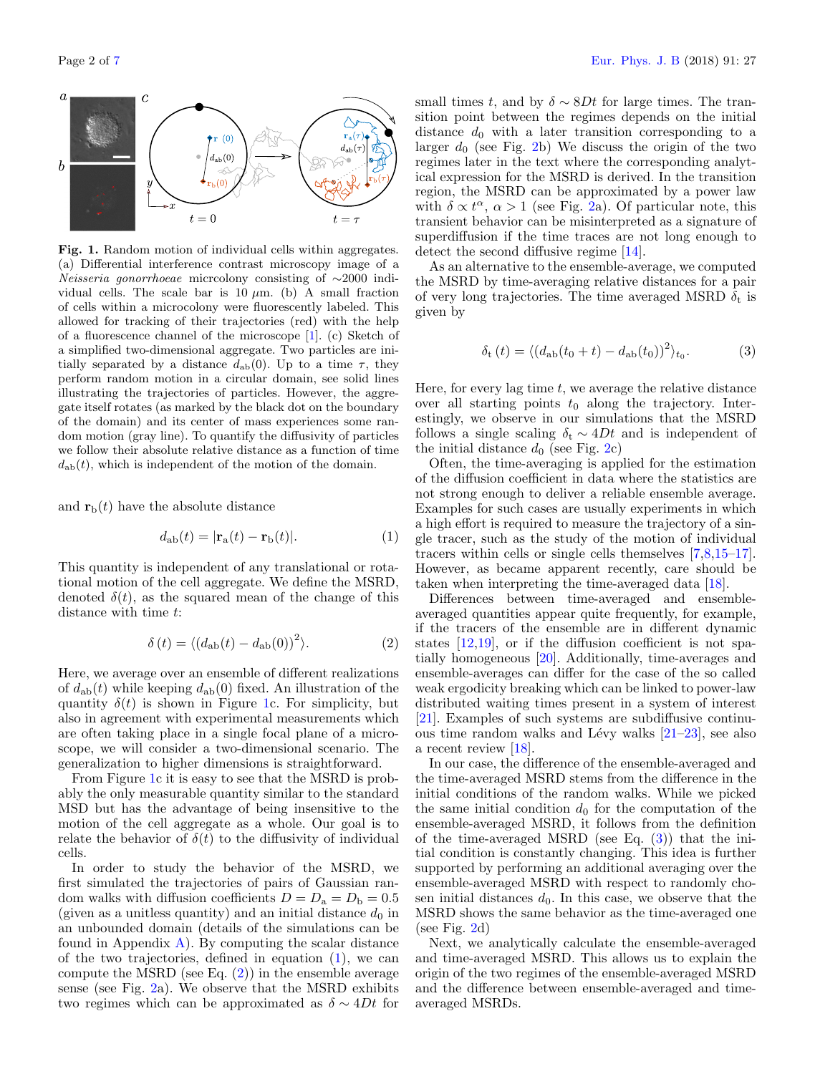

<span id="page-1-0"></span>Fig. 1. Random motion of individual cells within aggregates. (a) Differential interference contrast microscopy image of a Neisseria gonorrhoeae micrcolony consisting of ∼2000 individual cells. The scale bar is 10  $\mu$ m. (b) A small fraction of cells within a microcolony were fluorescently labeled. This allowed for tracking of their trajectories (red) with the help of a fluorescence channel of the microscope [\[1\]](#page-5-0). (c) Sketch of a simplified two-dimensional aggregate. Two particles are initially separated by a distance  $d_{ab}(0)$ . Up to a time  $\tau$ , they perform random motion in a circular domain, see solid lines illustrating the trajectories of particles. However, the aggregate itself rotates (as marked by the black dot on the boundary of the domain) and its center of mass experiences some random motion (gray line). To quantify the diffusivity of particles we follow their absolute relative distance as a function of time  $d_{ab}(t)$ , which is independent of the motion of the domain.

and  $\mathbf{r}_{\mathrm{b}}(t)$  have the absolute distance

<span id="page-1-1"></span>
$$
d_{ab}(t) = |\mathbf{r}_a(t) - \mathbf{r}_b(t)|.
$$
 (1)

This quantity is independent of any translational or rotational motion of the cell aggregate. We define the MSRD, denoted  $\delta(t)$ , as the squared mean of the change of this distance with time t:

<span id="page-1-2"></span>
$$
\delta(t) = \langle (d_{\rm ab}(t) - d_{\rm ab}(0))^2 \rangle.
$$
 (2)

Here, we average over an ensemble of different realizations of  $d_{ab}(t)$  while keeping  $d_{ab}(0)$  fixed. An illustration of the quantity  $\delta(t)$  is shown in Figure [1c](#page-1-0). For simplicity, but also in agreement with experimental measurements which are often taking place in a single focal plane of a microscope, we will consider a two-dimensional scenario. The generalization to higher dimensions is straightforward.

From Figure [1c](#page-1-0) it is easy to see that the MSRD is probably the only measurable quantity similar to the standard MSD but has the advantage of being insensitive to the motion of the cell aggregate as a whole. Our goal is to relate the behavior of  $\delta(t)$  to the diffusivity of individual cells.

In order to study the behavior of the MSRD, we first simulated the trajectories of pairs of Gaussian random walks with diffusion coefficients  $D = D<sub>a</sub> = D<sub>b</sub> = 0.5$ (given as a unitless quantity) and an initial distance  $d_0$  in an unbounded domain (details of the simulations can be found in Appendix  $\bf{A}$ ). By computing the scalar distance of the two trajectories, defined in equation [\(1\)](#page-1-1), we can compute the MSRD (see Eq.  $(2)$ ) in the ensemble average sense (see Fig. [2a](#page-1-3)). We observe that the MSRD exhibits two regimes which can be approximated as  $\delta \sim 4Dt$  for

small times t, and by  $\delta \sim 8Dt$  for large times. The transition point between the regimes depends on the initial distance  $d_0$  with a later transition corresponding to a larger  $d_0$  (see Fig. [2b](#page-1-3)) We discuss the origin of the two regimes later in the text where the corresponding analytical expression for the MSRD is derived. In the transition region, the MSRD can be approximated by a power law with  $\delta \propto t^{\alpha}$ ,  $\alpha > 1$  (see Fig. [2a](#page-1-3)). Of particular note, this transient behavior can be misinterpreted as a signature of superdiffusion if the time traces are not long enough to detect the second diffusive regime [\[14\]](#page-5-12).

As an alternative to the ensemble-average, we computed the MSRD by time-averaging relative distances for a pair of very long trajectories. The time averaged MSRD  $\delta_t$  is given by

<span id="page-1-3"></span>
$$
\delta_{\rm t}(t) = \langle (d_{\rm ab}(t_0 + t) - d_{\rm ab}(t_0))^2 \rangle_{t_0}.
$$
 (3)

Here, for every lag time  $t$ , we average the relative distance over all starting points  $t_0$  along the trajectory. Interestingly, we observe in our simulations that the MSRD follows a single scaling  $\delta_t \sim 4Dt$  and is independent of the initial distance  $d_0$  (see Fig. [2c](#page-1-3))

Often, the time-averaging is applied for the estimation of the diffusion coefficient in data where the statistics are not strong enough to deliver a reliable ensemble average. Examples for such cases are usually experiments in which a high effort is required to measure the trajectory of a single tracer, such as the study of the motion of individual tracers within cells or single cells themselves [\[7,](#page-5-5)[8,](#page-5-6)[15](#page-5-13)[–17\]](#page-5-14). However, as became apparent recently, care should be taken when interpreting the time-averaged data [\[18\]](#page-5-15).

Differences between time-averaged and ensembleaveraged quantities appear quite frequently, for example, if the tracers of the ensemble are in different dynamic states [\[12](#page-5-9)[,19\]](#page-5-16), or if the diffusion coefficient is not spatially homogeneous [\[20\]](#page-5-17). Additionally, time-averages and ensemble-averages can differ for the case of the so called weak ergodicity breaking which can be linked to power-law distributed waiting times present in a system of interest [\[21\]](#page-5-18). Examples of such systems are subdiffusive continuous time random walks and Lévy walks  $[21-23]$  $[21-23]$ , see also a recent review [\[18\]](#page-5-15).

In our case, the difference of the ensemble-averaged and the time-averaged MSRD stems from the difference in the initial conditions of the random walks. While we picked the same initial condition  $d_0$  for the computation of the ensemble-averaged MSRD, it follows from the definition of the time-averaged MSRD (see Eq.  $(3)$ ) that the initial condition is constantly changing. This idea is further supported by performing an additional averaging over the ensemble-averaged MSRD with respect to randomly chosen initial distances  $d_0$ . In this case, we observe that the MSRD shows the same behavior as the time-averaged one (see Fig.  $2d$ )

Next, we analytically calculate the ensemble-averaged and time-averaged MSRD. This allows us to explain the origin of the two regimes of the ensemble-averaged MSRD and the difference between ensemble-averaged and timeaveraged MSRDs.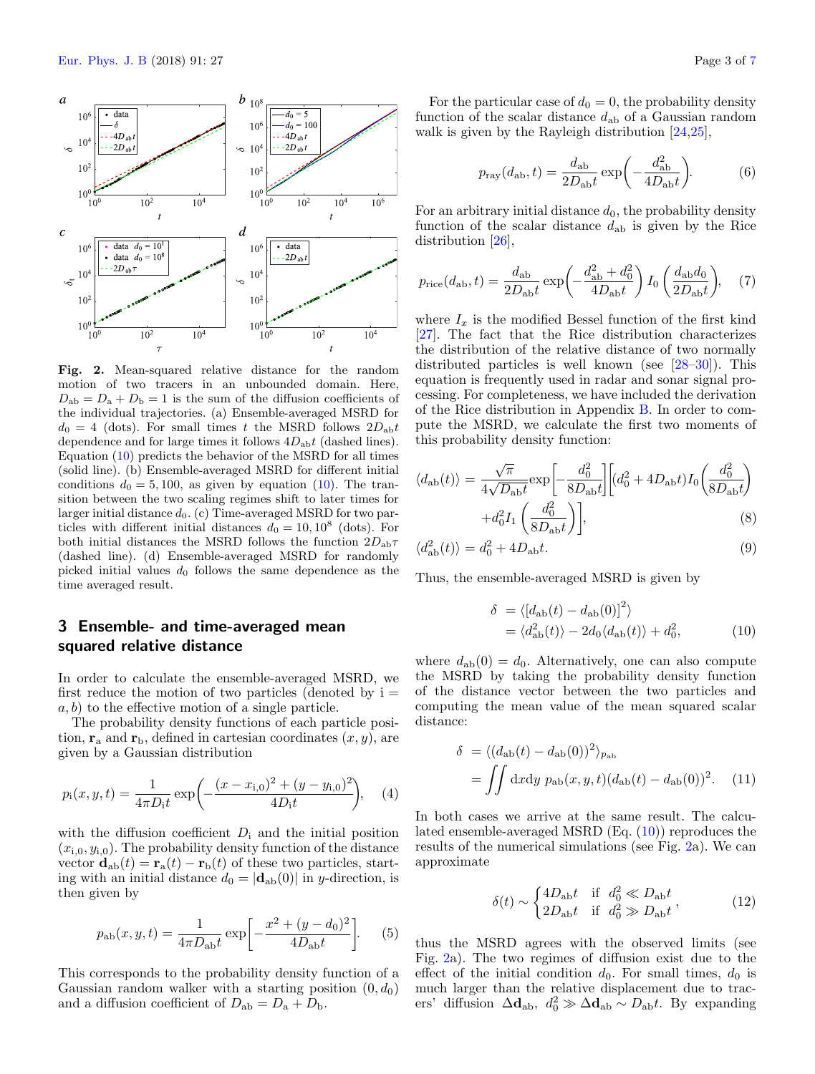

Fig. 2. Mean-squared relative distance for the random motion of two tracers in an unbounded domain. Here,  $D_{ab} = D_a + D_b = 1$  is the sum of the diffusion coefficients of the individual trajectories. (a) Ensemble-averaged MSRD for  $d_0 = 4$  (dots). For small times t the MSRD follows  $2D_{ab}t$ dependence and for large times it follows  $4D_{ab}t$  (dashed lines). Equation [\(10\)](#page-2-0) predicts the behavior of the MSRD for all times (solid line). (b) Ensemble-averaged MSRD for different initial conditions  $d_0 = 5, 100$ , as given by equation [\(10\)](#page-2-0). The transition between the two scaling regimes shift to later times for larger initial distance  $d_0$ . (c) Time-averaged MSRD for two particles with different initial distances  $d_0 = 10, 10^8$  (dots). For both initial distances the MSRD follows the function  $2D_{ab}\tau$ (dashed line). (d) Ensemble-averaged MSRD for randomly picked initial values  $d_0$  follows the same dependence as the time averaged result.

# 3 Ensemble- and time-averaged mean squared relative distance

In order to calculate the ensemble-averaged MSRD, we first reduce the motion of two particles (denoted by  $i =$  $a, b$  to the effective motion of a single particle.

The probability density functions of each particle position,  $\mathbf{r}_a$  and  $\mathbf{r}_b$ , defined in cartesian coordinates  $(x, y)$ , are given by a Gaussian distribution

$$
p_i(x, y, t) = \frac{1}{4\pi D_i t} \exp\left(-\frac{(x - x_{i,0})^2 + (y - y_{i,0})^2}{4D_i t}\right), \quad (4)
$$

with the diffusion coefficient  $D_i$  and the initial position  $(x_{i,0}, y_{i,0})$ . The probability density function of the distance vector  $\mathbf{d}_{ab}(t) = \mathbf{r}_a(t) - \mathbf{r}_b(t)$  of these two particles, starting with an initial distance  $d_0 = |\mathbf{d}_{ab}(0)|$  in y-direction, is then given by

<span id="page-2-4"></span>
$$
p_{ab}(x, y, t) = \frac{1}{4\pi D_{ab}t} \exp\left[-\frac{x^2 + (y - d_0)^2}{4D_{ab}t}\right].
$$
 (5)

This corresponds to the probability density function of a Gaussian random walker with a starting position  $(0, d_0)$ and a diffusion coefficient of  $D_{ab} = D_a + D_b$ .

For the particular case of  $d_0 = 0$ , the probability density function of the scalar distance  $d_{ab}$  of a Gaussian random walk is given by the Rayleigh distribution [\[24,](#page-5-20)[25\]](#page-5-21),

<span id="page-2-1"></span>
$$
p_{\text{ray}}(d_{\text{ab}}, t) = \frac{d_{\text{ab}}}{2D_{\text{ab}}t} \exp\left(-\frac{d_{\text{ab}}^2}{4D_{\text{ab}}t}\right). \tag{6}
$$

For an arbitrary initial distance  $d_0$ , the probability density function of the scalar distance  $d_{ab}$  is given by the Rice distribution [\[26\]](#page-5-22),

<span id="page-2-2"></span>
$$
p_{\text{rice}}(d_{\text{ab}}, t) = \frac{d_{\text{ab}}}{2D_{\text{ab}}t} \exp\left(-\frac{d_{\text{ab}}^2 + d_0^2}{4D_{\text{ab}}t}\right) I_0\left(\frac{d_{\text{ab}}d_0}{2D_{\text{ab}}t}\right), \quad (7)
$$

where  $I_x$  is the modified Bessel function of the first kind [\[27\]](#page-5-23). The fact that the Rice distribution characterizes the distribution of the relative distance of two normally distributed particles is well known (see [\[28](#page-5-24)[–30\]](#page-6-0)). This equation is frequently used in radar and sonar signal processing. For completeness, we have included the derivation of the Rice distribution in Appendix [B.](#page-4-1) In order to compute the MSRD, we calculate the first two moments of this probability density function:

$$
\langle d_{\rm ab}(t) \rangle = \frac{\sqrt{\pi}}{4\sqrt{D_{\rm ab}t}} \exp\left[-\frac{d_0^2}{8D_{\rm ab}t}\right] \left[(d_0^2 + 4D_{\rm ab}t)I_0\left(\frac{d_0^2}{8D_{\rm ab}t}\right) + d_0^2 I_1\left(\frac{d_0^2}{8D_{\rm ab}t}\right)\right],\tag{8}
$$

$$
\langle d_{\rm ab}^2(t) \rangle = d_0^2 + 4D_{\rm ab}t. \tag{9}
$$

Thus, the ensemble-averaged MSRD is given by

<span id="page-2-0"></span>
$$
\delta = \langle [d_{ab}(t) - d_{ab}(0)]^2 \rangle
$$
  
=  $\langle d_{ab}^2(t) \rangle - 2d_0 \langle d_{ab}(t) \rangle + d_0^2,$  (10)

where  $d_{ab}(0) = d_0$ . Alternatively, one can also compute the MSRD by taking the probability density function of the distance vector between the two particles and computing the mean value of the mean squared scalar distance:

<span id="page-2-3"></span>
$$
\delta = \langle (d_{\rm ab}(t) - d_{\rm ab}(0))^2 \rangle_{p_{\rm ab}}
$$
  
= 
$$
\iint dx dy \, p_{\rm ab}(x, y, t) (d_{\rm ab}(t) - d_{\rm ab}(0))^2.
$$
 (11)

In both cases we arrive at the same result. The calculated ensemble-averaged MSRD (Eq. [\(10\)](#page-2-0)) reproduces the results of the numerical simulations (see Fig. [2a](#page-1-3)). We can approximate

$$
\delta(t) \sim \begin{cases} 4D_{\rm ab}t & \text{if } d_0^2 \ll D_{\rm ab}t \\ 2D_{\rm ab}t & \text{if } d_0^2 \gg D_{\rm ab}t \end{cases},\tag{12}
$$

thus the MSRD agrees with the observed limits (see Fig. [2a](#page-1-3)). The two regimes of diffusion exist due to the effect of the initial condition  $d_0$ . For small times,  $d_0$  is much larger than the relative displacement due to tracers' diffusion  $\Delta \mathbf{d}_{ab}$ ,  $d_0^2 \gg \Delta \mathbf{d}_{ab} \sim D_{ab}t$ . By expanding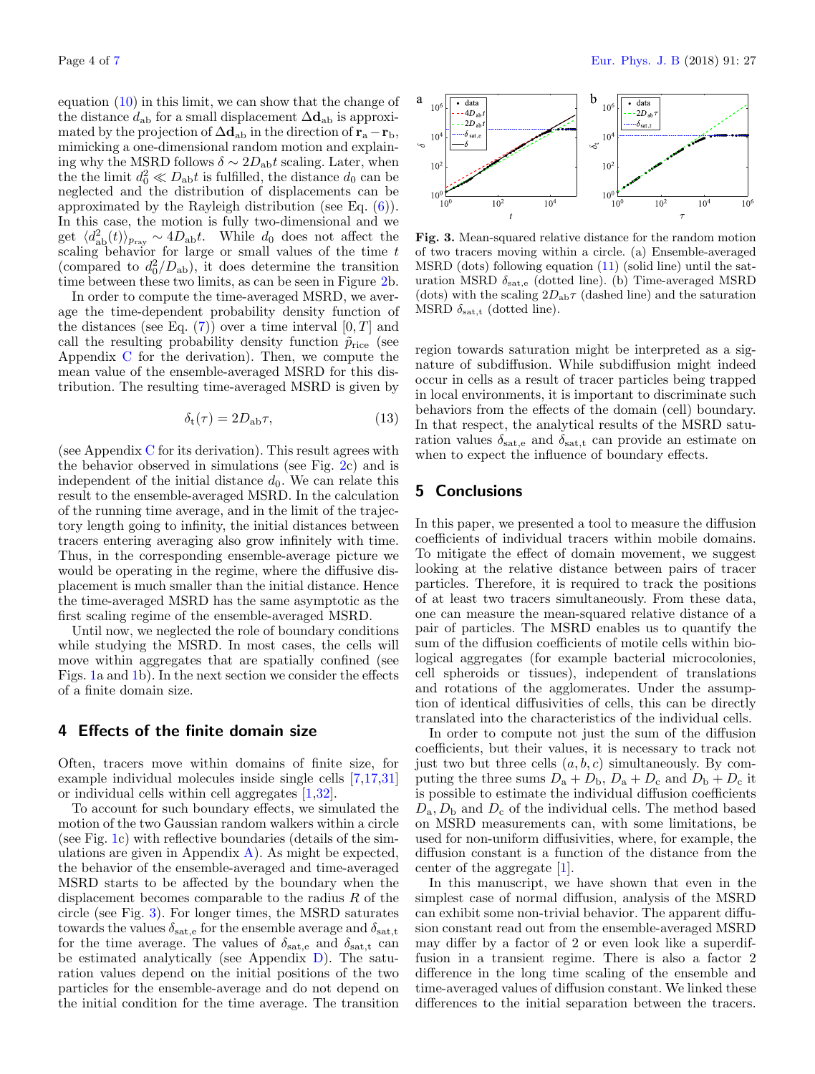equation [\(10\)](#page-2-0) in this limit, we can show that the change of the distance  $d_{ab}$  for a small displacement  $\Delta d_{ab}$  is approximated by the projection of  $\Delta d_{ab}$  in the direction of  $r_a - r_b$ , mimicking a one-dimensional random motion and explaining why the MSRD follows  $\delta \sim 2D_{ab}t$  scaling. Later, when the the limit  $d_0^2 \ll D_{ab}t$  is fulfilled, the distance  $d_0$  can be neglected and the distribution of displacements can be approximated by the Rayleigh distribution (see Eq. [\(6\)](#page-2-1)). In this case, the motion is fully two-dimensional and we get  $\langle d_{ab}^2(t) \rangle_{p_{ray}} \sim 4D_{ab}t$ . While  $d_0$  does not affect the scaling behavior for large or small values of the time  $t$ (compared to  $d_0^2/D_{ab}$ ), it does determine the transition time between these two limits, as can be seen in Figure [2b](#page-1-3).

In order to compute the time-averaged MSRD, we average the time-dependent probability density function of the distances (see Eq.  $(7)$ ) over a time interval  $[0, T]$  and call the resulting probability density function  $\tilde{p}_{\text{rice}}$  (see Appendix [C](#page-4-2) for the derivation). Then, we compute the mean value of the ensemble-averaged MSRD for this distribution. The resulting time-averaged MSRD is given by

$$
\delta_{\rm t}(\tau) = 2D_{\rm ab}\tau,\tag{13}
$$

(see Appendix [C](#page-4-2) for its derivation). This result agrees with the behavior observed in simulations (see Fig. [2c](#page-1-3)) and is independent of the initial distance  $d_0$ . We can relate this result to the ensemble-averaged MSRD. In the calculation of the running time average, and in the limit of the trajectory length going to infinity, the initial distances between tracers entering averaging also grow infinitely with time. Thus, in the corresponding ensemble-average picture we would be operating in the regime, where the diffusive displacement is much smaller than the initial distance. Hence the time-averaged MSRD has the same asymptotic as the first scaling regime of the ensemble-averaged MSRD.

Until now, we neglected the role of boundary conditions while studying the MSRD. In most cases, the cells will move within aggregates that are spatially confined (see Figs. [1a](#page-1-0) and [1b](#page-1-0)). In the next section we consider the effects of a finite domain size.

## 4 Effects of the finite domain size

Often, tracers move within domains of finite size, for example individual molecules inside single cells [\[7](#page-5-5)[,17,](#page-5-14)[31\]](#page-6-1) or individual cells within cell aggregates [\[1](#page-5-0)[,32\]](#page-6-2).

To account for such boundary effects, we simulated the motion of the two Gaussian random walkers within a circle (see Fig. [1c](#page-1-0)) with reflective boundaries (details of the simulations are given in Appendix  $\bf{A}$ ). As might be expected, the behavior of the ensemble-averaged and time-averaged MSRD starts to be affected by the boundary when the displacement becomes comparable to the radius R of the circle (see Fig. [3\)](#page-3-0). For longer times, the MSRD saturates towards the values  $\delta_{\text{sat,e}}$  for the ensemble average and  $\delta_{\text{sat,t}}$ for the time average. The values of  $\delta_{\text{sat,e}}$  and  $\delta_{\text{sat,t}}$  can be estimated analytically (see Appendix [D\)](#page-5-25). The saturation values depend on the initial positions of the two particles for the ensemble-average and do not depend on the initial condition for the time average. The transition



<span id="page-3-0"></span>Fig. 3. Mean-squared relative distance for the random motion of two tracers moving within a circle. (a) Ensemble-averaged MSRD (dots) following equation [\(11\)](#page-2-3) (solid line) until the saturation MSRD  $\delta_{\text{sat,e}}$  (dotted line). (b) Time-averaged MSRD (dots) with the scaling  $2D_{ab}\tau$  (dashed line) and the saturation MSRD  $\delta_{\text{sat,t}}$  (dotted line).

region towards saturation might be interpreted as a signature of subdiffusion. While subdiffusion might indeed occur in cells as a result of tracer particles being trapped in local environments, it is important to discriminate such behaviors from the effects of the domain (cell) boundary. In that respect, the analytical results of the MSRD saturation values  $\delta_{\text{sat,e}}$  and  $\delta_{\text{sat,t}}$  can provide an estimate on when to expect the influence of boundary effects.

# 5 Conclusions

In this paper, we presented a tool to measure the diffusion coefficients of individual tracers within mobile domains. To mitigate the effect of domain movement, we suggest looking at the relative distance between pairs of tracer particles. Therefore, it is required to track the positions of at least two tracers simultaneously. From these data, one can measure the mean-squared relative distance of a pair of particles. The MSRD enables us to quantify the sum of the diffusion coefficients of motile cells within biological aggregates (for example bacterial microcolonies, cell spheroids or tissues), independent of translations and rotations of the agglomerates. Under the assumption of identical diffusivities of cells, this can be directly translated into the characteristics of the individual cells.

In order to compute not just the sum of the diffusion coefficients, but their values, it is necessary to track not just two but three cells  $(a, b, c)$  simultaneously. By computing the three sums  $D_a + D_b$ ,  $D_a + D_c$  and  $D_b + D_c$  it is possible to estimate the individual diffusion coefficients  $D_{\rm a}, D_{\rm b}$  and  $D_{\rm c}$  of the individual cells. The method based on MSRD measurements can, with some limitations, be used for non-uniform diffusivities, where, for example, the diffusion constant is a function of the distance from the center of the aggregate [\[1\]](#page-5-0).

In this manuscript, we have shown that even in the simplest case of normal diffusion, analysis of the MSRD can exhibit some non-trivial behavior. The apparent diffusion constant read out from the ensemble-averaged MSRD may differ by a factor of 2 or even look like a superdiffusion in a transient regime. There is also a factor 2 difference in the long time scaling of the ensemble and time-averaged values of diffusion constant. We linked these differences to the initial separation between the tracers.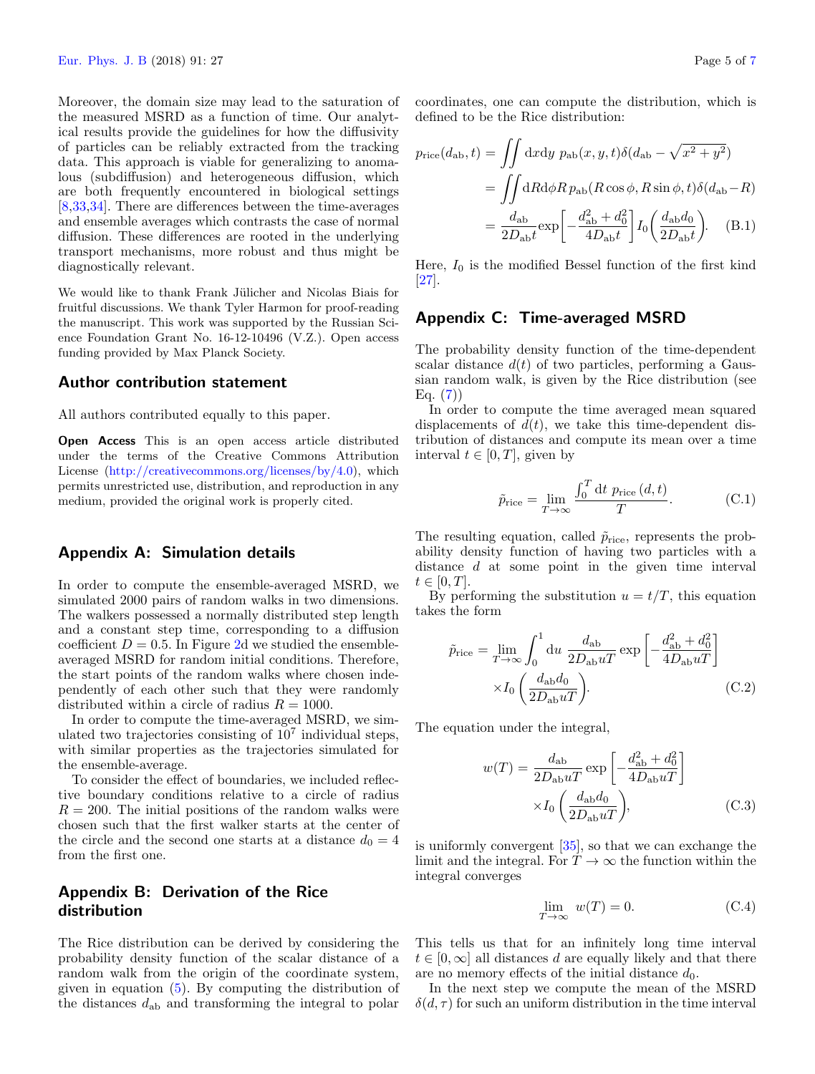Moreover, the domain size may lead to the saturation of the measured MSRD as a function of time. Our analytical results provide the guidelines for how the diffusivity of particles can be reliably extracted from the tracking data. This approach is viable for generalizing to anomalous (subdiffusion) and heterogeneous diffusion, which are both frequently encountered in biological settings [\[8](#page-5-6)[,33,](#page-6-3)[34\]](#page-6-4). There are differences between the time-averages and ensemble averages which contrasts the case of normal diffusion. These differences are rooted in the underlying transport mechanisms, more robust and thus might be diagnostically relevant.

We would like to thank Frank Jülicher and Nicolas Biais for fruitful discussions. We thank Tyler Harmon for proof-reading the manuscript. This work was supported by the Russian Science Foundation Grant No. 16-12-10496 (V.Z.). Open access funding provided by Max Planck Society.

#### Author contribution statement

All authors contributed equally to this paper.

Open Access This is an open access article distributed under the terms of the Creative Commons Attribution License [\(http://creativecommons.org/licenses/by/4.0\)](http://creativecommons.org/licenses/by/4.0), which permits unrestricted use, distribution, and reproduction in any medium, provided the original work is properly cited.

## <span id="page-4-0"></span>Appendix A: Simulation details

In order to compute the ensemble-averaged MSRD, we simulated 2000 pairs of random walks in two dimensions. The walkers possessed a normally distributed step length and a constant step time, corresponding to a diffusion coefficient  $D = 0.5$ . In Figure [2d](#page-1-3) we studied the ensembleaveraged MSRD for random initial conditions. Therefore, the start points of the random walks where chosen independently of each other such that they were randomly distributed within a circle of radius  $R = 1000$ .

In order to compute the time-averaged MSRD, we simulated two trajectories consisting of  $10<sup>7</sup>$  individual steps, with similar properties as the trajectories simulated for the ensemble-average.

To consider the effect of boundaries, we included reflective boundary conditions relative to a circle of radius  $R = 200$ . The initial positions of the random walks were chosen such that the first walker starts at the center of the circle and the second one starts at a distance  $d_0 = 4$ from the first one.

## <span id="page-4-1"></span>Appendix B: Derivation of the Rice distribution

The Rice distribution can be derived by considering the probability density function of the scalar distance of a random walk from the origin of the coordinate system, given in equation [\(5\)](#page-2-4). By computing the distribution of the distances  $d_{ab}$  and transforming the integral to polar

coordinates, one can compute the distribution, which is defined to be the Rice distribution:

$$
p_{\text{rice}}(d_{\text{ab}}, t) = \iint dx dy \ p_{\text{ab}}(x, y, t) \delta(d_{\text{ab}} - \sqrt{x^2 + y^2})
$$
  
= 
$$
\iint dR d\phi R \ p_{\text{ab}}(R \cos \phi, R \sin \phi, t) \delta(d_{\text{ab}} - R)
$$
  
= 
$$
\frac{d_{\text{ab}}}{2D_{\text{ab}}t} \exp \left[ -\frac{d_{\text{ab}}^2 + d_0^2}{4D_{\text{ab}}t} \right] I_0 \left( \frac{d_{\text{ab}}d_0}{2D_{\text{ab}}t} \right). \quad (B.1)
$$

Here,  $I_0$  is the modified Bessel function of the first kind [\[27\]](#page-5-23).

### <span id="page-4-2"></span>Appendix C: Time-averaged MSRD

The probability density function of the time-dependent scalar distance  $d(t)$  of two particles, performing a Gaussian random walk, is given by the Rice distribution (see  $Eq. (7)$  $Eq. (7)$ 

In order to compute the time averaged mean squared displacements of  $d(t)$ , we take this time-dependent distribution of distances and compute its mean over a time interval  $t \in [0, T]$ , given by

$$
\tilde{p}_{\text{rice}} = \lim_{T \to \infty} \frac{\int_0^T dt \ p_{\text{rice}}(d, t)}{T}.
$$
\n(C.1)

The resulting equation, called  $\tilde{p}_{\text{rice}}$ , represents the probability density function of having two particles with a distance d at some point in the given time interval  $t \in [0, T].$ 

By performing the substitution  $u = t/T$ , this equation takes the form

$$
\tilde{p}_{\text{rice}} = \lim_{T \to \infty} \int_0^1 du \frac{d_{\text{ab}}}{2D_{\text{ab}}uT} \exp\left[-\frac{d_{\text{ab}}^2 + d_0^2}{4D_{\text{ab}}uT}\right] \times I_0 \left(\frac{d_{\text{ab}}d_0}{2D_{\text{ab}}uT}\right).
$$
\n(C.2)

The equation under the integral,

$$
w(T) = \frac{d_{\rm ab}}{2D_{\rm ab}uT} \exp\left[-\frac{d_{\rm ab}^2 + d_0^2}{4D_{\rm ab}uT}\right]
$$

$$
\times I_0 \left(\frac{d_{\rm ab}d_0}{2D_{\rm ab}uT}\right),\tag{C.3}
$$

is uniformly convergent [\[35\]](#page-6-5), so that we can exchange the limit and the integral. For  $T \to \infty$  the function within the integral converges

$$
\lim_{T \to \infty} w(T) = 0. \tag{C.4}
$$

This tells us that for an infinitely long time interval  $t \in [0,\infty]$  all distances d are equally likely and that there are no memory effects of the initial distance  $d_0$ .

In the next step we compute the mean of the MSRD  $\delta(d, \tau)$  for such an uniform distribution in the time interval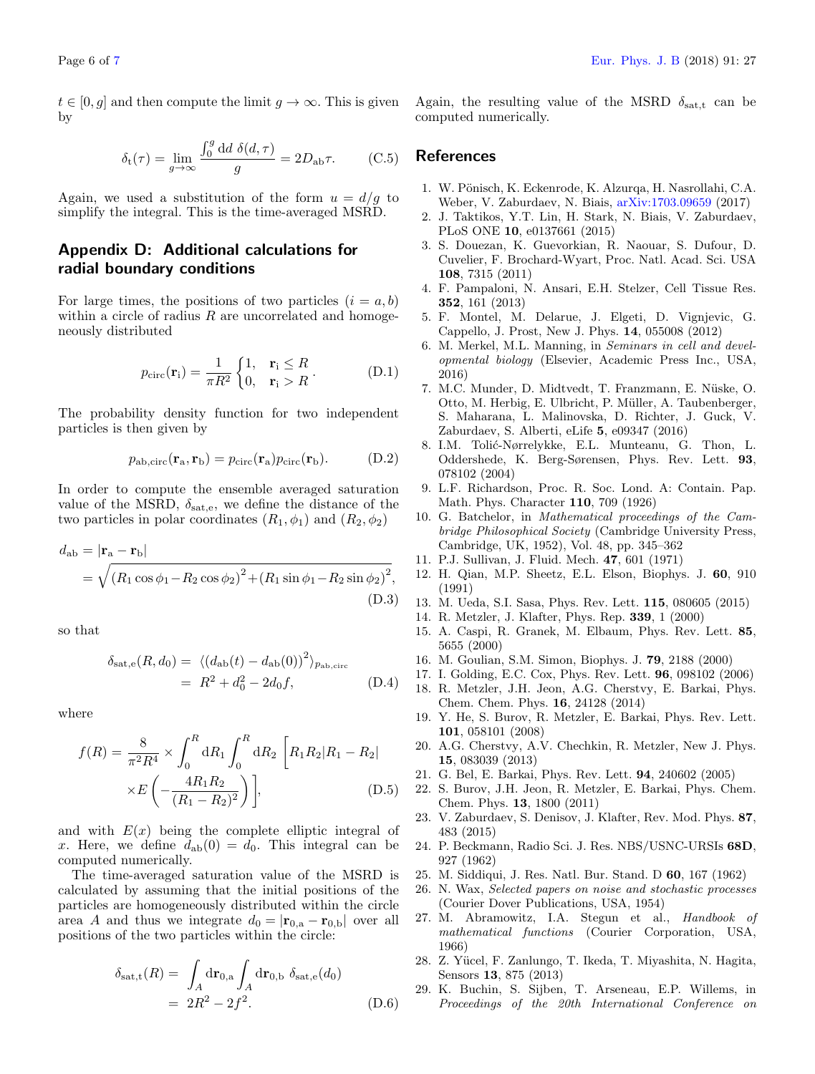$t \in [0, g]$  and then compute the limit  $g \to \infty$ . This is given by

$$
\delta_{\rm t}(\tau) = \lim_{g \to \infty} \frac{\int_0^g \mathrm{d}d \ \delta(d,\tau)}{g} = 2D_{\rm ab}\tau. \tag{C.5}
$$

Again, we used a substitution of the form  $u = d/g$  to simplify the integral. This is the time-averaged MSRD.

## <span id="page-5-25"></span>Appendix D: Additional calculations for radial boundary conditions

For large times, the positions of two particles  $(i = a, b)$ within a circle of radius  $R$  are uncorrelated and homogeneously distributed

$$
p_{\text{circ}}(\mathbf{r}_{i}) = \frac{1}{\pi R^{2}} \begin{cases} 1, & \mathbf{r}_{i} \leq R \\ 0, & \mathbf{r}_{i} > R \end{cases} . \tag{D.1}
$$

The probability density function for two independent particles is then given by

$$
p_{\rm ab,circ}(\mathbf{r}_{\rm a}, \mathbf{r}_{\rm b}) = p_{\rm circ}(\mathbf{r}_{\rm a}) p_{\rm circ}(\mathbf{r}_{\rm b}). \tag{D.2}
$$

In order to compute the ensemble averaged saturation value of the MSRD,  $\delta_{\text{sat,e}}$ , we define the distance of the two particles in polar coordinates  $(R_1, \phi_1)$  and  $(R_2, \phi_2)$ 

$$
d_{ab} = |\mathbf{r}_{a} - \mathbf{r}_{b}|
$$
  
=  $\sqrt{(R_1 \cos \phi_1 - R_2 \cos \phi_2)^2 + (R_1 \sin \phi_1 - R_2 \sin \phi_2)^2}$ , (D.3)

so that

$$
\delta_{\rm sat, e}(R, d_0) = \langle (d_{\rm ab}(t) - d_{\rm ab}(0))^2 \rangle_{p_{\rm ab, circ}}
$$
  
=  $R^2 + d_0^2 - 2d_0 f$ , (D.4)

where

$$
f(R) = \frac{8}{\pi^2 R^4} \times \int_0^R dR_1 \int_0^R dR_2 \left[ R_1 R_2 | R_1 - R_2 | \right] \times E\left( -\frac{4R_1 R_2}{(R_1 - R_2)^2} \right),
$$
 (D.5)

and with  $E(x)$  being the complete elliptic integral of x. Here, we define  $d_{ab}(0) = d_0$ . This integral can be computed numerically.

The time-averaged saturation value of the MSRD is calculated by assuming that the initial positions of the particles are homogeneously distributed within the circle area A and thus we integrate  $d_0 = |\mathbf{r}_{0,a} - \mathbf{r}_{0,b}|$  over all positions of the two particles within the circle:

$$
\delta_{\text{sat,t}}(R) = \int_A d\mathbf{r}_{0,\text{a}} \int_A d\mathbf{r}_{0,\text{b}} \delta_{\text{sat,e}}(d_0)
$$
  
= 
$$
2R^2 - 2f^2.
$$
 (D.6)

Again, the resulting value of the MSRD  $\delta_{\text{sat,t}}$  can be computed numerically.

## <span id="page-5-11"></span>**References**

- <span id="page-5-0"></span>1. W. Pönisch, K. Eckenrode, K. Alzurqa, H. Nasrollahi, C.A. Weber, V. Zaburdaev, N. Biais, [arXiv:1703.09659](https://arxiv.org/abs/1703.09659) (2017)
- <span id="page-5-1"></span>2. J. Taktikos, Y.T. Lin, H. Stark, N. Biais, V. Zaburdaev, PLoS ONE 10, e0137661 (2015)
- <span id="page-5-2"></span>3. S. Douezan, K. Guevorkian, R. Naouar, S. Dufour, D. Cuvelier, F. Brochard-Wyart, Proc. Natl. Acad. Sci. USA 108, 7315 (2011)
- 4. F. Pampaloni, N. Ansari, E.H. Stelzer, Cell Tissue Res. 352, 161 (2013)
- <span id="page-5-3"></span>5. F. Montel, M. Delarue, J. Elgeti, D. Vignjevic, G. Cappello, J. Prost, New J. Phys. 14, 055008 (2012)
- <span id="page-5-4"></span>6. M. Merkel, M.L. Manning, in Seminars in cell and developmental biology (Elsevier, Academic Press Inc., USA, 2016)
- <span id="page-5-5"></span>7. M.C. Munder, D. Midtvedt, T. Franzmann, E. Nüske, O. Otto, M. Herbig, E. Ulbricht, P. M¨uller, A. Taubenberger, S. Maharana, L. Malinovska, D. Richter, J. Guck, V. Zaburdaev, S. Alberti, eLife 5, e09347 (2016)
- <span id="page-5-6"></span>8. I.M. Tolić-Nørrelykke, E.L. Munteanu, G. Thon, L. Oddershede, K. Berg-Sørensen, Phys. Rev. Lett. 93, 078102 (2004)
- <span id="page-5-7"></span>9. L.F. Richardson, Proc. R. Soc. Lond. A: Contain. Pap. Math. Phys. Character 110, 709 (1926)
- 10. G. Batchelor, in Mathematical proceedings of the Cambridge Philosophical Society (Cambridge University Press, Cambridge, UK, 1952), Vol. 48, pp. 345–362
- <span id="page-5-8"></span>11. P.J. Sullivan, J. Fluid. Mech. 47, 601 (1971)
- <span id="page-5-9"></span>12. H. Qian, M.P. Sheetz, E.L. Elson, Biophys. J. 60, 910 (1991)
- <span id="page-5-10"></span>13. M. Ueda, S.I. Sasa, Phys. Rev. Lett. 115, 080605 (2015)
- <span id="page-5-12"></span>14. R. Metzler, J. Klafter, Phys. Rep. 339, 1 (2000)
- <span id="page-5-13"></span>15. A. Caspi, R. Granek, M. Elbaum, Phys. Rev. Lett. 85, 5655 (2000)
- 16. M. Goulian, S.M. Simon, Biophys. J. 79, 2188 (2000)
- <span id="page-5-14"></span>17. I. Golding, E.C. Cox, Phys. Rev. Lett. 96, 098102 (2006)
- <span id="page-5-15"></span>18. R. Metzler, J.H. Jeon, A.G. Cherstvy, E. Barkai, Phys. Chem. Chem. Phys. 16, 24128 (2014)
- <span id="page-5-16"></span>19. Y. He, S. Burov, R. Metzler, E. Barkai, Phys. Rev. Lett. 101, 058101 (2008)
- <span id="page-5-17"></span>20. A.G. Cherstvy, A.V. Chechkin, R. Metzler, New J. Phys. 15, 083039 (2013)
- <span id="page-5-18"></span>21. G. Bel, E. Barkai, Phys. Rev. Lett. 94, 240602 (2005)
- 22. S. Burov, J.H. Jeon, R. Metzler, E. Barkai, Phys. Chem. Chem. Phys. 13, 1800 (2011)
- <span id="page-5-19"></span>23. V. Zaburdaev, S. Denisov, J. Klafter, Rev. Mod. Phys. 87, 483 (2015)
- <span id="page-5-20"></span>24. P. Beckmann, Radio Sci. J. Res. NBS/USNC-URSIs 68D, 927 (1962)
- <span id="page-5-21"></span>25. M. Siddiqui, J. Res. Natl. Bur. Stand. D 60, 167 (1962)
- <span id="page-5-22"></span>26. N. Wax, Selected papers on noise and stochastic processes (Courier Dover Publications, USA, 1954)
- <span id="page-5-23"></span>27. M. Abramowitz, I.A. Stegun et al., Handbook of mathematical functions (Courier Corporation, USA, 1966)
- <span id="page-5-24"></span>28. Z. Yücel, F. Zanlungo, T. Ikeda, T. Miyashita, N. Hagita, Sensors 13, 875 (2013)
- 29. K. Buchin, S. Sijben, T. Arseneau, E.P. Willems, in Proceedings of the 20th International Conference on